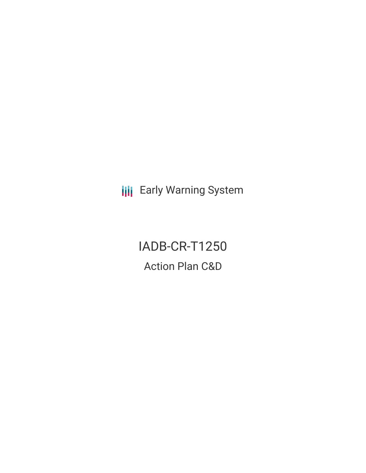**III** Early Warning System

IADB-CR-T1250 Action Plan C&D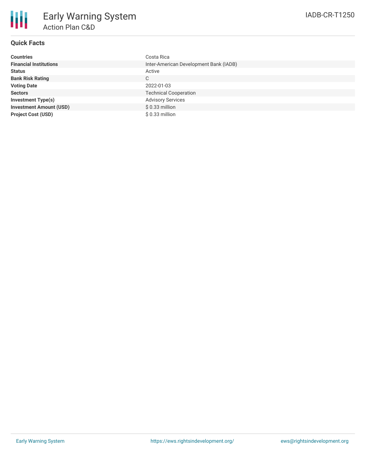

# **Quick Facts**

| <b>Countries</b>               | Costa Rica                             |
|--------------------------------|----------------------------------------|
| <b>Financial Institutions</b>  | Inter-American Development Bank (IADB) |
| <b>Status</b>                  | Active                                 |
| <b>Bank Risk Rating</b>        | C                                      |
| <b>Voting Date</b>             | 2022-01-03                             |
| <b>Sectors</b>                 | <b>Technical Cooperation</b>           |
| <b>Investment Type(s)</b>      | <b>Advisory Services</b>               |
| <b>Investment Amount (USD)</b> | $$0.33$ million                        |
| <b>Project Cost (USD)</b>      | $$0.33$ million                        |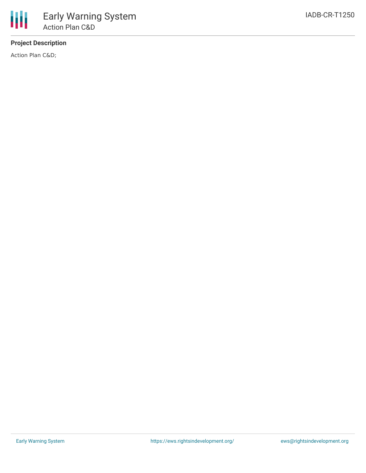# **Project Description**

Action Plan C&D;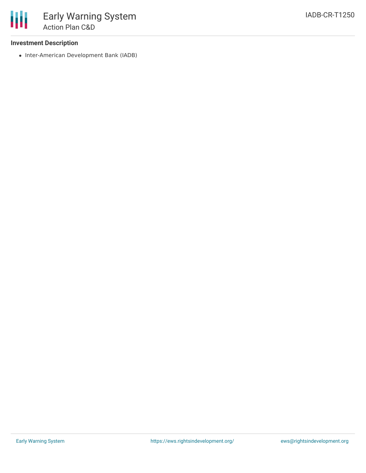## **Investment Description**

• Inter-American Development Bank (IADB)